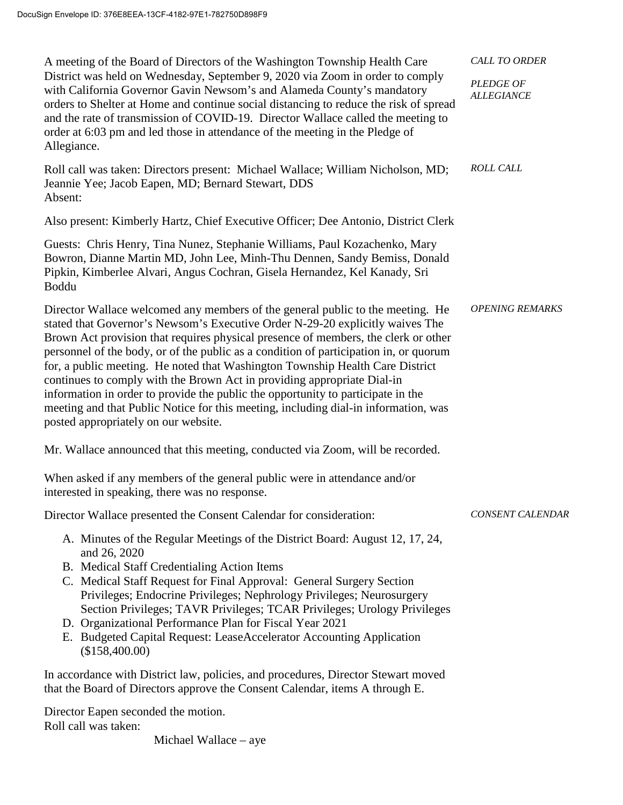| A meeting of the Board of Directors of the Washington Township Health Care                                                                                                                                                                                                                                                                                                                                                                                                                                                                                                                                                                                                                                                    | <b>CALL TO ORDER</b>           |
|-------------------------------------------------------------------------------------------------------------------------------------------------------------------------------------------------------------------------------------------------------------------------------------------------------------------------------------------------------------------------------------------------------------------------------------------------------------------------------------------------------------------------------------------------------------------------------------------------------------------------------------------------------------------------------------------------------------------------------|--------------------------------|
| District was held on Wednesday, September 9, 2020 via Zoom in order to comply<br>with California Governor Gavin Newsom's and Alameda County's mandatory<br>orders to Shelter at Home and continue social distancing to reduce the risk of spread<br>and the rate of transmission of COVID-19. Director Wallace called the meeting to<br>order at 6:03 pm and led those in attendance of the meeting in the Pledge of<br>Allegiance.                                                                                                                                                                                                                                                                                           | PLEDGE OF<br><b>ALLEGIANCE</b> |
| Roll call was taken: Directors present: Michael Wallace; William Nicholson, MD;<br>Jeannie Yee; Jacob Eapen, MD; Bernard Stewart, DDS<br>Absent:                                                                                                                                                                                                                                                                                                                                                                                                                                                                                                                                                                              | <b>ROLL CALL</b>               |
| Also present: Kimberly Hartz, Chief Executive Officer; Dee Antonio, District Clerk                                                                                                                                                                                                                                                                                                                                                                                                                                                                                                                                                                                                                                            |                                |
| Guests: Chris Henry, Tina Nunez, Stephanie Williams, Paul Kozachenko, Mary<br>Bowron, Dianne Martin MD, John Lee, Minh-Thu Dennen, Sandy Bemiss, Donald<br>Pipkin, Kimberlee Alvari, Angus Cochran, Gisela Hernandez, Kel Kanady, Sri<br>Boddu                                                                                                                                                                                                                                                                                                                                                                                                                                                                                |                                |
| Director Wallace welcomed any members of the general public to the meeting. He<br>stated that Governor's Newsom's Executive Order N-29-20 explicitly waives The<br>Brown Act provision that requires physical presence of members, the clerk or other<br>personnel of the body, or of the public as a condition of participation in, or quorum<br>for, a public meeting. He noted that Washington Township Health Care District<br>continues to comply with the Brown Act in providing appropriate Dial-in<br>information in order to provide the public the opportunity to participate in the<br>meeting and that Public Notice for this meeting, including dial-in information, was<br>posted appropriately on our website. | <b>OPENING REMARKS</b>         |
| Mr. Wallace announced that this meeting, conducted via Zoom, will be recorded.                                                                                                                                                                                                                                                                                                                                                                                                                                                                                                                                                                                                                                                |                                |
| When asked if any members of the general public were in attendance and/or<br>interested in speaking, there was no response.                                                                                                                                                                                                                                                                                                                                                                                                                                                                                                                                                                                                   |                                |
| Director Wallace presented the Consent Calendar for consideration:                                                                                                                                                                                                                                                                                                                                                                                                                                                                                                                                                                                                                                                            | CONSENT CALENDAR               |
| A. Minutes of the Regular Meetings of the District Board: August 12, 17, 24,<br>and 26, 2020<br>B. Medical Staff Credentialing Action Items<br>C. Medical Staff Request for Final Approval: General Surgery Section<br>Privileges; Endocrine Privileges; Nephrology Privileges; Neurosurgery<br>Section Privileges; TAVR Privileges; TCAR Privileges; Urology Privileges<br>D. Organizational Performance Plan for Fiscal Year 2021<br>E. Budgeted Capital Request: LeaseAccelerator Accounting Application<br>(\$158,400.00)                                                                                                                                                                                                 |                                |
| In accordance with District law, policies, and procedures, Director Stewart moved<br>that the Board of Directors approve the Consent Calendar, items A through E.                                                                                                                                                                                                                                                                                                                                                                                                                                                                                                                                                             |                                |
| Director Eapen seconded the motion.                                                                                                                                                                                                                                                                                                                                                                                                                                                                                                                                                                                                                                                                                           |                                |

Roll call was taken:

Michael Wallace – aye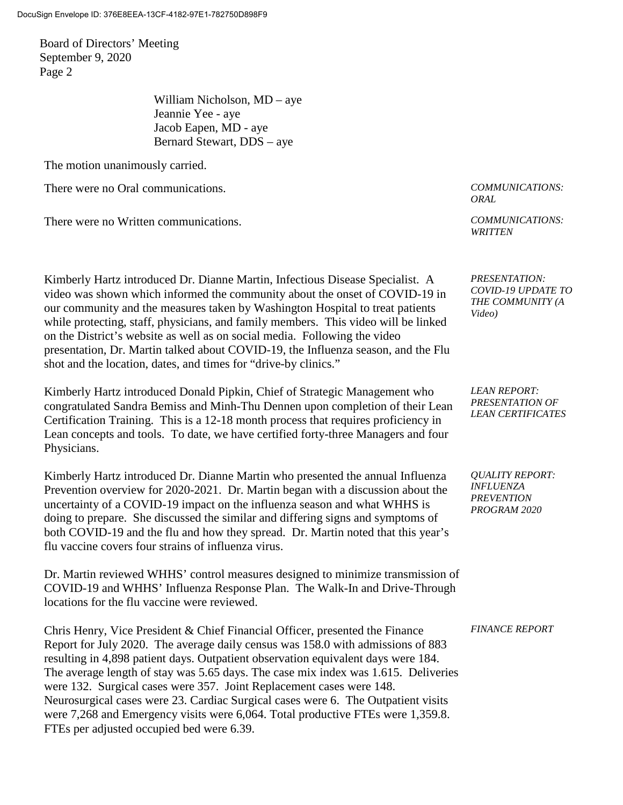Board of Directors' Meeting September 9, 2020 Page 2

> William Nicholson, MD – aye Jeannie Yee - aye Jacob Eapen, MD - aye Bernard Stewart, DDS – aye

The motion unanimously carried.

There were no Oral communications. *COMMUNICATIONS:*

There were no Written communications. *COMMUNICATIONS:*

Kimberly Hartz introduced Dr. Dianne Martin, Infectious Disease Specialist. A video was shown which informed the community about the onset of COVID-19 in our community and the measures taken by Washington Hospital to treat patients while protecting, staff, physicians, and family members. This video will be linked on the District's website as well as on social media. Following the video presentation, Dr. Martin talked about COVID-19, the Influenza season, and the Flu shot and the location, dates, and times for "drive-by clinics."

Kimberly Hartz introduced Donald Pipkin, Chief of Strategic Management who congratulated Sandra Bemiss and Minh-Thu Dennen upon completion of their Lean Certification Training. This is a 12-18 month process that requires proficiency in Lean concepts and tools. To date, we have certified forty-three Managers and four Physicians.

Kimberly Hartz introduced Dr. Dianne Martin who presented the annual Influenza Prevention overview for 2020-2021. Dr. Martin began with a discussion about the uncertainty of a COVID-19 impact on the influenza season and what WHHS is doing to prepare. She discussed the similar and differing signs and symptoms of both COVID-19 and the flu and how they spread. Dr. Martin noted that this year's flu vaccine covers four strains of influenza virus.

Dr. Martin reviewed WHHS' control measures designed to minimize transmission of COVID-19 and WHHS' Influenza Response Plan. The Walk-In and Drive-Through locations for the flu vaccine were reviewed.

Chris Henry, Vice President & Chief Financial Officer, presented the Finance Report for July 2020. The average daily census was 158.0 with admissions of 883 resulting in 4,898 patient days. Outpatient observation equivalent days were 184. The average length of stay was 5.65 days. The case mix index was 1.615. Deliveries were 132. Surgical cases were 357. Joint Replacement cases were 148. Neurosurgical cases were 23. Cardiac Surgical cases were 6. The Outpatient visits were 7,268 and Emergency visits were 6,064. Total productive FTEs were 1,359.8. FTEs per adjusted occupied bed were 6.39.

*ORAL* 

*WRITTEN*

*PRESENTATION: COVID-19 UPDATE TO THE COMMUNITY (A Video)*

*LEAN REPORT: PRESENTATION OF LEAN CERTIFICATES*

*QUALITY REPORT: INFLUENZA PREVENTION PROGRAM 2020*

## *FINANCE REPORT*